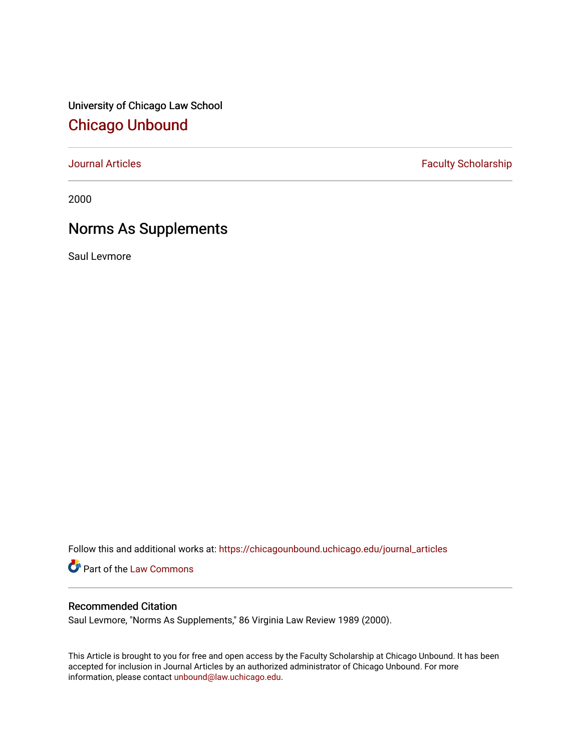University of Chicago Law School [Chicago Unbound](https://chicagounbound.uchicago.edu/)

[Journal Articles](https://chicagounbound.uchicago.edu/journal_articles) **Faculty Scholarship Faculty Scholarship** 

2000

# Norms As Supplements

Saul Levmore

Follow this and additional works at: [https://chicagounbound.uchicago.edu/journal\\_articles](https://chicagounbound.uchicago.edu/journal_articles?utm_source=chicagounbound.uchicago.edu%2Fjournal_articles%2F1612&utm_medium=PDF&utm_campaign=PDFCoverPages) 

Part of the [Law Commons](http://network.bepress.com/hgg/discipline/578?utm_source=chicagounbound.uchicago.edu%2Fjournal_articles%2F1612&utm_medium=PDF&utm_campaign=PDFCoverPages)

# Recommended Citation

Saul Levmore, "Norms As Supplements," 86 Virginia Law Review 1989 (2000).

This Article is brought to you for free and open access by the Faculty Scholarship at Chicago Unbound. It has been accepted for inclusion in Journal Articles by an authorized administrator of Chicago Unbound. For more information, please contact [unbound@law.uchicago.edu](mailto:unbound@law.uchicago.edu).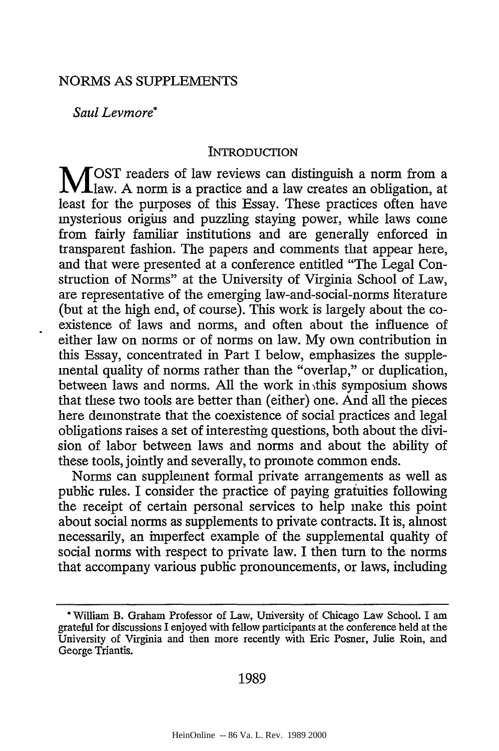#### NORMS AS SUPPLEMENTS

*Saul Levmore\**

#### INTRODUCTION

**M** OST readers of law reviews can distinguish a norm from a law. A norm is a practice and a law creates an obligation, at least for the purposes of this Essay. These practices often have mysterious origins and puzzling staying power, while laws come from fairly familiar institutions and are generally enforced in transparent fashion. The papers and comments that appear here, and that were presented at a conference entitled "The Legal Construction of Norms" at the University of Virginia School of Law, are representative of the emerging law-and-social-norms literature (but at the high end, of course). This work is largely about the coexistence of laws and norms, and often about the influence of either law on norms or of norms on law. My own contribution in this Essay, concentrated in Part I below, emphasizes the supplemental quality of norms rather than the "overlap," or duplication, between laws and norms. All the work in this symposium shows that these two tools are better than (either) one. And all the pieces here demonstrate that the coexistence of social practices and legal obligations raises a set of interesting questions, both about the division of labor between laws and norms and about the ability of these tools, jointly and severally, to promote common ends.

Norms can supplement formal private arrangements as well as public rules. I consider the practice of paying gratuities following the receipt of certain personal services to help make this point about social norms as supplements to private contracts. It is, almost necessarily, an imperfect example of the supplemental quality of social norms with respect to private law. I then turn to the norms that accompany various public pronouncements, or laws, including

#### 1989

<sup>\*</sup> William B. Graham Professor of Law, University of Chicago Law School. I am grateful for discussions I enjoyed with fellow participants at the conference held at the University of Virginia and then more recently with Eric Posner, Julie Roin, and George Triantis.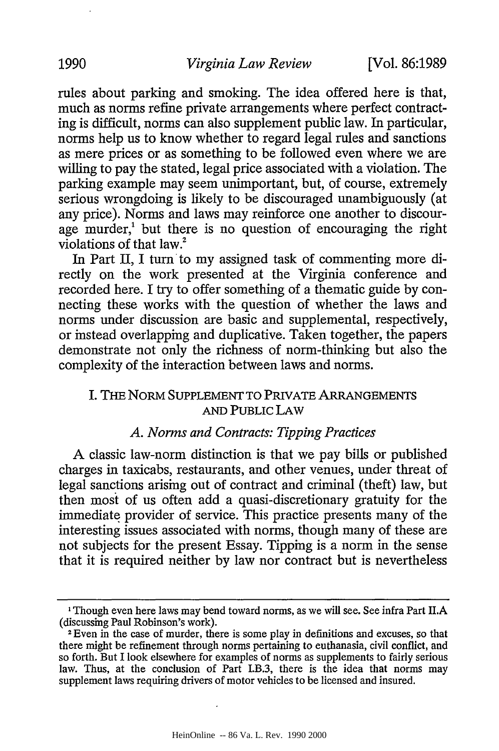rules about parking and smoking. The idea offered here is that, much as norms refine private arrangements where perfect contracting is difficult, norms can also supplement public law. In particular, norms help us to know whether to regard legal rules and sanctions as mere prices or as something to be followed even where we are willing to pay the stated, legal price associated with a violation. The parking example may seem unimportant, but, of course, extremely serious wrongdoing is likely to be discouraged unambiguously (at any price). Norms and laws may reinforce one another to discourage murder,<sup> $1$ </sup> but there is no question of encouraging the right violations of that law.?

In Part II, I turn to my assigned task of commenting more directly on the work presented at the Virginia conference and recorded here. I try to offer something of a thematic guide by connecting these works with the question of whether the laws and norms under discussion are basic and supplemental, respectively, or instead overlapping and duplicative. Taken together, the papers demonstrate not only the richness of norm-thinking but also the complexity of the interaction between laws and norms.

# I. THE NORM SUPPLEMENT TO PRIVATE ARRANGEMENTS AND PUBLIC LAW

## *A. Norms and Contracts: Tipping Practices*

A classic law-norm distinction is that we pay bills or published charges in taxicabs, restaurants, and other venues, under threat of legal sanctions arising out of contract and criminal (theft) law, but then most of us often add a quasi-discretionary gratuity for the immediate provider of service. This practice presents many of the interesting issues associated with norms, though many of these are not subjects for the present Essay. Tipping is a norm in the sense that it is required neither **by** law nor contract but is nevertheless

<sup>&#</sup>x27; Though even here laws may bend toward norms, as we will see. See infra Part II.A (discussing Paul Robinson's work).

**<sup>2</sup>** Even in the case of murder, there is some play in definitions and excuses, so that there might be refinement through norms pertaining to euthanasia, civil conflict, and so forth. But I look elsewhere for examples of norms as supplements to fairly serious law. Thus, at the conclusion of Part I.B.3, there is the idea that norms may supplement laws requiring drivers of motor vehicles to be licensed and insured.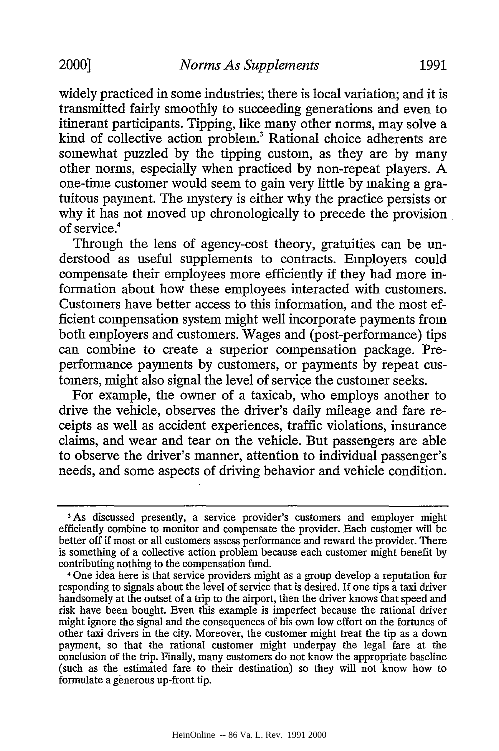widely practiced in some industries; there is local variation; and it is transmitted fairly smoothly to succeeding generations and even to itinerant participants. Tipping, like many other norms, may solve a kind of collective action problem? Rational choice adherents are somewhat puzzled by the tipping custom, as they are by many other norms, especially when practiced by non-repeat players. A one-time customer would seem to gain very little by making a gratuitous payment. The mystery is either why the practice persists or why it has not moved up chronologically to precede the provision of service.<sup>4</sup>

Through the lens of agency-cost theory, gratuities can be understood as useful supplements to contracts. Employers could compensate their employees more efficiently if they had more information about how these employees interacted with customers. Customers have better access to this information, and the most efficient compensation system might well incorporate payments from both employers and customers. Wages and (post-performance) tips can combine to create a superior compensation package. Preperformance payments by customers, or payments by repeat customers, might also signal the level of service the customer seeks.

For example, the owner of a taxicab, who employs another to drive the vehicle, observes the driver's daily mileage and fare receipts as well as accident experiences, traffic violations, insurance claims, and wear and tear on the vehicle. But passengers are able to observe the driver's manner, attention to individual passenger's needs, and some aspects of driving behavior and vehicle condition.

**<sup>3</sup>As** discussed presently, a service provider's customers and employer might efficiently combine to monitor and compensate the provider. Each customer will be better off if most or all customers assess performance and reward the provider. There is something of a collective action problem because each customer might benefit by contributing nothing to the compensation fund.

<sup>4</sup> One idea here is that service providers might as a group develop a reputation for responding to signals about the level of service that is desired. If one tips a taxi driver handsomely at the outset of a trip to the airport, then the driver knows that speed and risk have been bought. Even this example is imperfect because the rational driver might ignore the signal and the consequences of his own low effort on the fortunes of other taxi drivers in the city. Moreover, the customer might treat the tip as a down payment, so that the rational customer might underpay the legal fare at the conclusion of the trip. Finally, many customers do not know the appropriate baseline (such as the estimated fare to their destination) so they will not know how to formulate a generous up-front tip.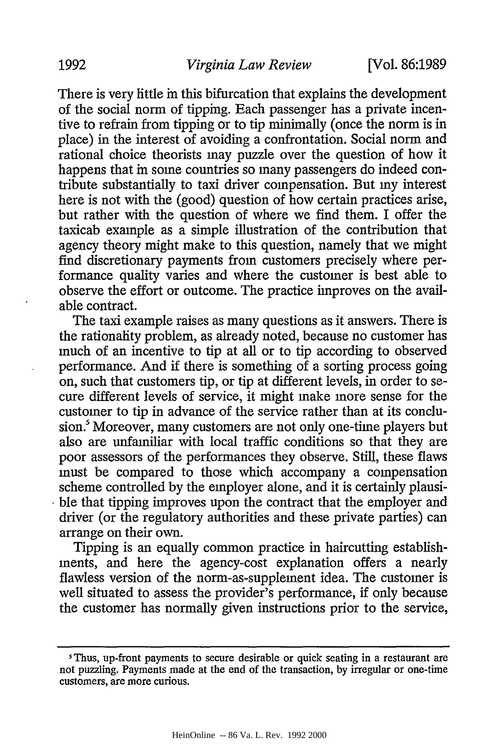There is very little in this bifurcation that explains the development of the social norm of tipping. Each passenger has a private incentive to refrain from tipping or to tip minimally (once the norm is in place) in the interest of avoiding a confrontation. Social norm and rational choice theorists may puzzle over the question of how it happens that in some countries so many passengers do indeed contribute substantially to taxi driver compensation. But my interest here is not with the (good) question of how certain practices arise, but rather with the question of where we find them. I offer the taxicab example as a simple illustration of the contribution that agency theory might make to this question, namely that we might find discretionary payments from customers precisely where performance quality varies and where the customer is best able to observe the effort or outcome. The practice improves on the available contract.

The taxi example raises as many questions as it answers. There is the rationality problem, as already noted, because no customer has much of an incentive to tip at all or to tip according to observed performance. And if there is something of a sorting process going on, such that customers tip, or tip at different levels, in order to secure different levels of service, it might make more sense for the customer to tip in advance of the service rather than at its conclusion.<sup>5</sup> Moreover, many customers are not only one-time players but also are unfamiliar with local traffic conditions so that they are poor assessors of the performances they observe. Still, these flaws must be compared to those which accompany a compensation scheme controlled by the employer alone, and it is certainly plausible that tipping improves upon the contract that the employer and driver (or the regulatory authorities and these private parties) can arrange on their own.

Tipping is an equally common practice in haircutting establishments, and here the agency-cost explanation offers a nearly flawless version of the norm-as-supplement idea. The customer is well situated to assess the provider's performance, if only because the customer has normally given instructions prior to the service,

<sup>&</sup>lt;sup>5</sup>Thus, up-front payments to secure desirable or quick seating in a restaurant are not puzzling. Payments made at the end of the transaction, by irregular or one-time customers, are more curious.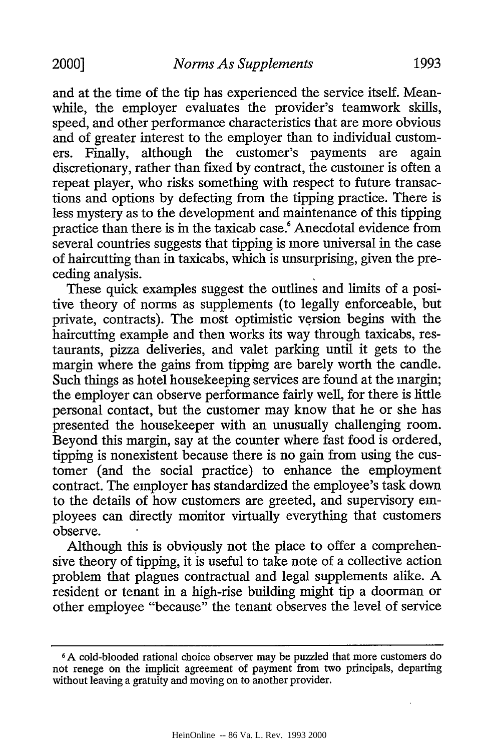and at the time of the tip has experienced the service itself. Meanwhile, the employer evaluates the provider's teamwork skills, speed, and other performance characteristics that are more obvious and of greater interest to the employer than to individual customers. Finally, although the customer's payments are again discretionary, rather than fixed by contract, the customer is often a repeat player, who risks something with respect to future transactions and options by defecting from the tipping practice. There is less mystery as to the development and maintenance of this tipping practice than there is in the taxicab case.' Anecdotal evidence from several countries suggests that tipping is more universal in the case of haircutting than in taxicabs, which is unsurprising, given the preceding analysis.

These quick examples suggest the outlines and limits of a positive theory of norms as supplements (to legally enforceable, but private, contracts). The most optimistic version begins with the haircutting example and then works its way through taxicabs, restaurants, pizza deliveries, and valet parking until it gets to the margin where the gains from tipping are barely worth the candle. Such things as hotel housekeeping services are found at the margin; the employer can observe performance fairly well, for there is little personal contact, but the customer may know that he or she has presented the housekeeper with an unusually challenging room. Beyond this margin, say at the counter where fast food is ordered, tipping is nonexistent because there is no gain from using the customer (and the social practice) to enhance the employment contract. The employer has standardized the employee's task down to the details of how customers are greeted, and supervisory employees can directly monitor virtually everything that customers observe.

Although this is obviously not the place to offer a comprehensive theory of tipping, it is useful to take note of a collective action problem that plagues contractual and legal supplements alike. A resident or tenant in a high-rise building might tip a doorman or other employee "because" the tenant observes the level of service

**<sup>6</sup>A** cold-blooded rational choice observer may be puzzled that more customers do not renege on the implicit agreement of payment from two principals, departing without leaving a gratuity and moving on to another provider.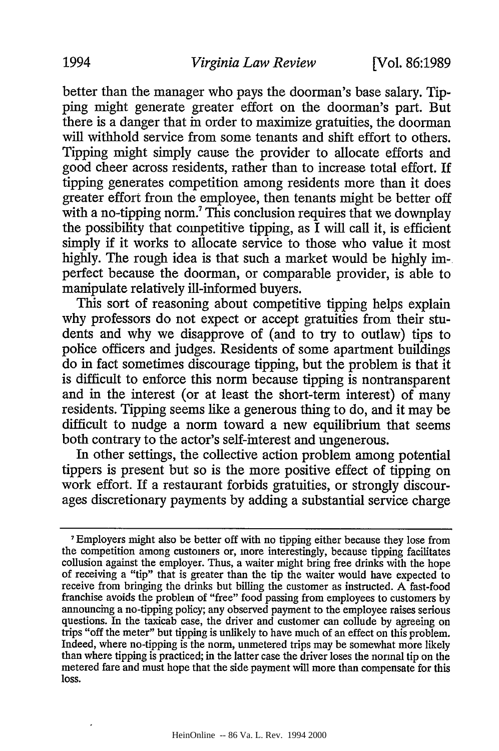better than the manager who pays the doorman's base salary. Tipping might generate greater effort on the doorman's part. But there is a danger that in order to maximize gratuities, the doorman will withhold service from some tenants and shift effort to others. Tipping might simply cause the provider to allocate efforts and good cheer across residents, rather than to increase total effort. If tipping generates competition among residents more than it does greater effort from the employee, then tenants might be better off with a no-tipping norm.<sup>7</sup> This conclusion requires that we downplay the possibility that competitive tipping, as  $\overline{I}$  will call it, is efficient simply if it works to allocate service to those who value it most highly. The rough idea is that such a market would be highly imperfect because the doorman, or comparable provider, is able to manipulate relatively ill-informed buyers.

This sort of reasoning about competitive tipping helps explain why professors do not expect or accept gratuities from their students and why we disapprove of (and to try to outlaw) tips to police officers and judges. Residents of some apartment buildings do in fact sometimes discourage tipping, but the problem is that it is difficult to enforce this norm because tipping is nontransparent and in the interest (or at least the short-term interest) of many residents. Tipping seems like a generous thing to do, and it may be difficult to nudge a norm toward a new equilibrium that seems both contrary to the actor's self-interest and ungenerous.

In other settings, the collective action problem among potential tippers is present but so is the more positive effect of tipping on work effort. If a restaurant forbids gratuities, or strongly discourages discretionary payments by adding a substantial service charge

**<sup>7</sup>**Employers might also be better off with no tipping either because they lose from the competition among customers or, more interestingly, because tipping facilitates collusion against the employer. Thus, a waiter might bring free drinks with the hope of receiving a "tip" that is greater than the tip the waiter would have expected to receive from bringing the drinks but billing the customer as instructed. A fast-food franchise avoids the problem of "free" food passing from employees to customers by announcing a no-tipping policy; any observed payment to the employee raises serious questions. In the taxicab case, the driver and customer can collude by agreeing on trips "off the meter" but tipping is unlikely to have much of an effect on this problem. Indeed, where no-tipping is the norm, unmetered trips may be somewhat more likely than where tipping is practiced; in the latter case the driver loses the normal tip on the metered fare and must hope that the side payment will more than compensate for this loss.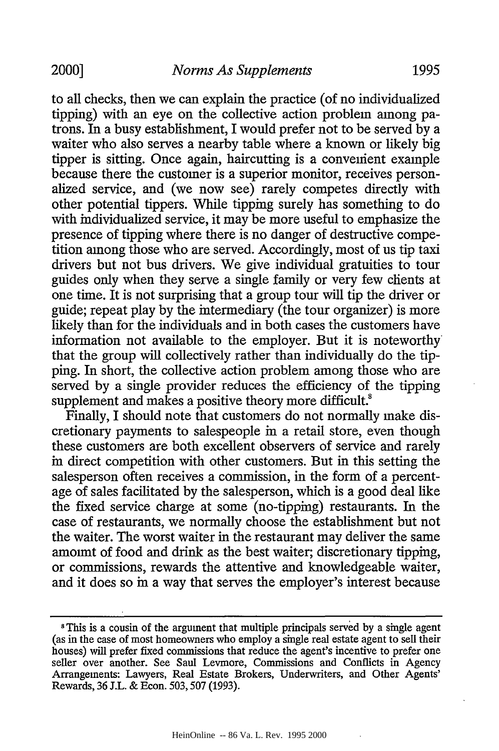to all checks, then we can explain the practice (of no individualized tipping) with an eye on the collective action problem among patrons. In a busy establishment, I would prefer not to be served by a waiter who also serves a nearby table where a known or likely big tipper is sitting. Once again, haircutting is a convenient example because there the customer is a superior monitor, receives personalized service, and (we now see) rarely competes directly with other potential tippers. While tipping surely has something to do with individualized service, it may be more useful to emphasize the presence of tipping where there is no danger of destructive competition among those who are served. Accordingly, most of us tip taxi drivers but not bus drivers. We give individual gratuities to tour guides only when they serve a single family or very few chents at one time. It is not surprising that a group tour will tip the driver or guide; repeat play by the intermediary (the tour organizer) is more likely than for the individuals and in both cases the customers have information not available to the employer. But it is noteworthy' that the group will collectively rather than individually do the tipping. In short, the collective action problem among those who are served by a single provider reduces the efficiency of the tipping supplement and makes a positive theory more difficult.<sup>8</sup>

Finally, I should note that customers do not normally make discretionary payments to salespeople in a retail store, even though these customers are both excellent observers of service and rarely in direct competition with other customers. But in this setting the salesperson often receives a commission, in the form of a percentage of sales facilitated by the salesperson, which is a good deal like the fixed service charge at some (no-tipping) restaurants. In the case of restaurants, we normally choose the establishment but not the waiter. The worst waiter in the restaurant may deliver the same amount of food and drink as the best waiter; discretionary tipping, or commissions, rewards the attentive and knowledgeable waiter, and it does so in a way that serves the employer's interest because

<sup>&</sup>lt;sup>8</sup>This is a cousin of the argument that multiple principals served by a single agent (as in the case of most homeowners who employ a single real estate agent to sell their houses) will prefer fixed commissions that reduce the agent's incentive to prefer one seller over another. See Saul Levmore, Commissions and Conflicts in Agency Arrangements: Lawyers, Real Estate Brokers, Underwriters, and Other Agents' Rewards, 36 J.L. & Econ. 503,507 (1993).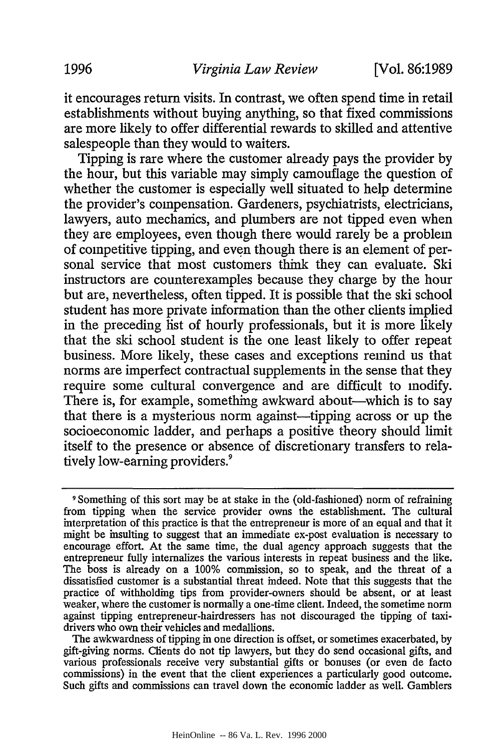it encourages return visits. In contrast, we often spend time in retail establishments without buying anything, so that fixed commissions are more likely to offer differential rewards to skilled and attentive salespeople than they would to waiters.

Tipping is rare where the customer already pays the provider by the hour, but this variable may simply camouflage the question of whether the customer is especially well situated to help determine the provider's compensation. Gardeners, psychiatrists, electricians, lawyers, auto mechanics, and plumbers are not tipped even when they are employees, even though there would rarely be a problem of competitive tipping, and even though there is an element of personal service that most customers think they can evaluate. Ski instructors are counterexamples because they charge by the hour but are, nevertheless, often tipped. It is possible that the ski school student has more private information than the other clients implied in the preceding list of hourly professionals, but it is more likely that the ski school student is the one least likely to offer repeat business. More likely, these cases and exceptions remind us that norms are imperfect contractual supplements in the sense that they require some cultural convergence and are difficult to modify. There is, for example, something awkward about—which is to say that there is a mysterious norm against-tipping across or up the socioeconomic ladder, and perhaps a positive theory should limit itself to the presence or absence of discretionary transfers to relatively low-earning providers.<sup>9</sup>

The awkwardness of tipping in one direction is offset, or sometimes exacerbated, by gift-giving norms. Chents do not tip lawyers, but they do send occasional gifts, and various professionals receive very substantial gifts or bonuses (or even de facto commissions) in the event that the client experiences a particularly good outcome. Such gifts and commissions can travel down the economic ladder as well. Gamblers

**<sup>9</sup>** Something of this sort may be at stake in the (old-fashioned) norm of refraining from tipping when the service provider owns the establishment. The cultural interpretation of this practice is that the entrepreneur is more of an equal and that it might be insulting to suggest that an immediate ex-post evaluation is necessary to encourage effort. At the same time, the dual agency approach suggests that the entrepreneur fully internalizes the various interests in repeat business and the like. The boss is already on a 100% commission, so to speak, and the threat of a dissatisfied customer is a substantial threat indeed. Note that this suggests that the practice of withholding tips from provider-owners should be absent, *or* at least weaker, where the customer is normally a one-time client. Indeed, the sometime norm against tipping entrepreneur-hairdressers has not discouraged the tipping of taxidrivers who own their vehicles and medallions.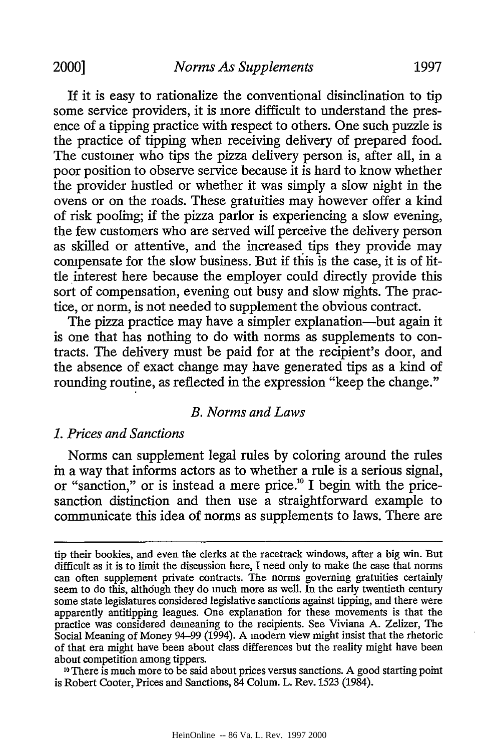If it is easy to rationalize the conventional disinclination to tip some service providers, it is more difficult to understand the presence of a tipping practice with respect to others. One such puzzle is the practice of tipping when receiving delivery of prepared food. The customer who tips the pizza delivery person is, after all, in a poor position to observe service because it is hard to know whether the provider hustled or whether it was simply a slow night in the ovens or on the roads. These gratuities may however offer a kind of risk pooling; if the pizza parlor is experiencing a slow evening, the few customers who are served will perceive the delivery person as skilled or attentive, and the increased tips they provide may compensate for the slow business. But if this is the case, it is of little interest here because the employer could directly provide this sort of compensation, evening out busy and slow nights. The practice, or norm, is not needed to supplement the obvious contract.

The pizza practice may have a simpler explanation—but again it is one that has nothing to do with norms as supplements to contracts. The delivery must be paid for at the recipient's door, and the absence of exact change may have generated tips as a kind of rounding routine, as reflected in the expression "keep the change."

# *B. Norms and Laws*

#### *1. Prices and Sanctions*

Norms can supplement legal rules by coloring around the rules in a way that informs actors as to whether a rule is a serious signal, or "sanction," or is instead a mere price." I begin with the pricesanction distinction and then use a straightforward example to communicate this idea of norms as supplements to laws. There are

<sup>10</sup> There is much more to be said about prices versus sanctions. A good starting point is Robert Cooter, Prices and Sanctions, 84 Colum. L. Rev. 1523 (1984).

tip their bookies, and even the clerks at the racetrack windows, after a big win. But difficult as it is to limit the discussion here, I need only to make the case that norms can often supplement private contracts. The norms governing gratuities certainly seem to do this, although they do much more as well. In the early twentieth century some state legislatures considered legislative sanctions against tipping, and there were apparently antitipping leagues. One explanation for these movements is that the practice was considered demeaning to the recipients. See Viviana A. Zelizer, The Social Meaning of Money 94-99 (1994). A modern view might insist that the rhetoric of that era might have been about class differences but the reality might have been about competition among tippers.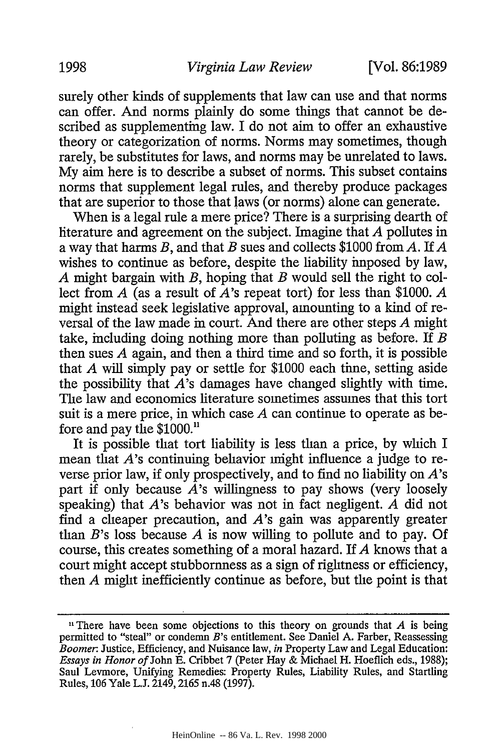surely other kinds of supplements that law can use and that norms can offer. And norms plainly do some things that cannot be described as supplementing law. I do not aim to offer an exhaustive theory or categorization of norms. Norms may sometimes, though rarely, be substitutes for laws, and norms may be unrelated to laws. My aim here is to describe a subset of norms. This subset contains norms that supplement legal rules, and thereby produce packages that are superior to those that laws (or norms) alone can generate.

When is a legal rule a mere price? There is a surprising dearth of literature and agreement on the subject. Imagine that *A* pollutes in a way that harms *B,* and that *B* sues and collects \$1000 from *A.* If *A* wishes to continue as before, despite the liability imposed by law, *A* might bargain with *B,* hoping that *B* would sell the right to collect from *A* (as a result of A's repeat tort) for less than \$1000. *A* might instead seek legislative approval, amounting to a kind of reversal of the law made in court. And there are other steps *A* might take, including doing nothing more than polluting as before. If *B* then sues *A* again, and then a third time and so forth, it is possible that *A* will simply pay or settle for \$1000 each time, setting aside the possibility that  $\vec{A}$ 's damages have changed slightly with time. The law and economics literature sometimes assumes that this tort suit is a mere price, in which case *A* can continue to operate as before and pay the \$1000.<sup>11</sup>

It is possible that tort liability is less than a price, by which I mean that  $A$ 's continuing behavior imight influence a judge to reverse prior law, if only prospectively, and to find no liability on *A's* part if only because *A's* willingness to pay shows (very loosely speaking) that *A's* behavior was not in fact negligent. *A* did not find a cheaper precaution, and *A's* gain was apparently greater than *B's* loss because *A* is now willing to pollute and to pay. Of course, this creates something of a moral hazard. If *A* knows that a court might accept stubbornness as a sign of rightness or efficiency, then *A* might inefficiently continue as before, but the point is that

<sup>&</sup>lt;sup>11</sup> There have been some objections to this theory on grounds that  $A$  is being permitted to "steal" or condemn B's entitlement. See Daniel A. Farber, Reassessing *Boomer.* Justice, Efficiency, and Nuisance law, in Property Law and Legal Education: *Essays in Honor of* John E. Cribbet 7 (Peter Hay & Michael H. Hoeflich eds., 1988); Saul Levmore, Unifying Remedies: Property Rules, Liability Rules, and Startling Rules, 106 Yale L.J. 2149,2165 n.48 (1997).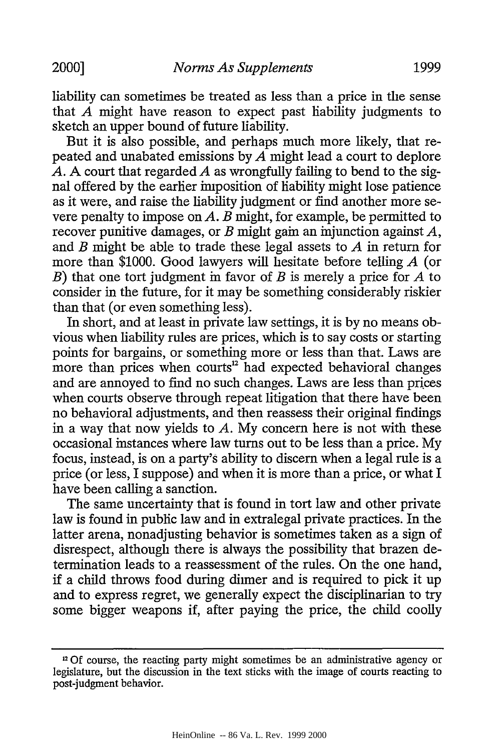liability can sometimes be treated as less than a price in the sense that *A* might have reason to expect past liability judgments to sketch an upper bound of future liability.

But it is also possible, and perhaps much more likely, that repeated and unabated emissions by *A* might lead a court to deplore *A.* A court that regarded *A* as wrongfully failing to bend to the signal offered by the earlier imposition of liability might lose patience as it were, and raise the liability judgment or find another more severe penalty to impose on *A. B* might, for example, be permitted to recover punitive damages, or *B* might gain an injunction against *A,* and *B* might be able to trade these legal assets to *A* in return for more than \$1000. Good lawyers will hesitate before telling *A* (or *B)* that one tort judgment in favor of *B* is merely a price for *A* to consider in the future, for it may be something considerably riskier than that (or even something less).

In short, and at least in private law settings, it is by no means obvious when liability rules are prices, which is to say costs or starting points for bargains, or something more or less than that. Laws are more than prices when courts<sup>12</sup> had expected behavioral changes and are annoyed to find no such changes. Laws are less than prices when courts observe through repeat litigation that there have been no behavioral adjustments, and then reassess their original findings in a way that now yields to *A.* My concern here is not with these occasional instances where law turns out to be less than a price. My focus, instead, is on a party's ability to discern when a legal rule is a price (or less, I suppose) and when it is more than a price, or what I have been calling a sanction.

The same uncertainty that is found in tort law and other private law is found in public law and in extralegal private practices. In the latter arena, nonadjusting behavior is sometimes taken as a sign of disrespect, although there is always the possibility that brazen determination leads to a reassessment of the rules. On the one hand, **if** a child throws food during dinner and is required to pick it up and to express regret, we generally expect the disciplinarian to try some bigger weapons if, after paying the price, the child coolly

<sup>&</sup>lt;sup>12</sup> Of course, the reacting party might sometimes be an administrative agency or legislature, but the discussion in the text sticks with the image of courts reacting to post-judgment behavior.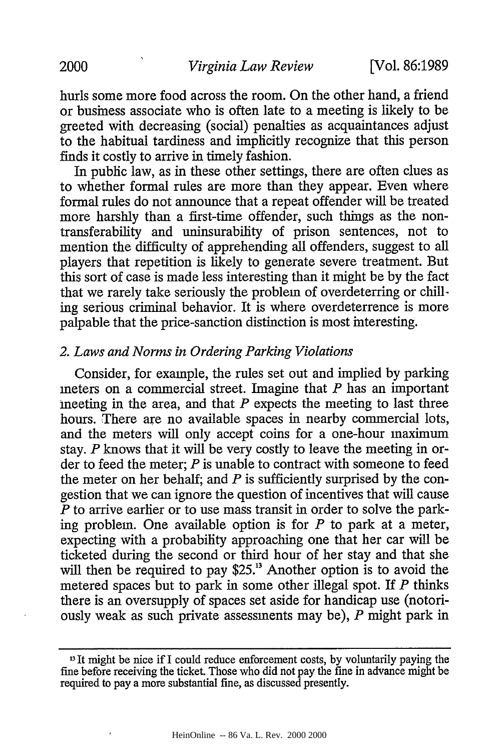hurls some more food across the room. On the other hand, a friend or business associate who is often late to a meeting is likely to be greeted with decreasing (social) penalties as acquaintances adjust to the habitual tardiness and implicitly recognize that this person finds it costly to arrive in timely fashion.

In public law, as in these other settings, there are often clues as to whether formal rules are more than they appear. Even where formal rules do not announce that a repeat offender will be treated more harshly than a first-time offender, such things as the nontransferability and uninsurability of prison sentences, not to mention the difficulty of apprehending all offenders, suggest to all players that repetition is likely to generate severe treatment. But this sort of case is made less interesting than it might be by the fact that we rarely take seriously the problem of overdeterring or chilling serious criminal behavior. It is where overdeterrence is more palpable that the price-sanction distinction is most interesting.

#### *2. Laws and Norms in Ordering Parking Violations*

Consider, for example, the rules set out and implied by parking meters on a commercial street. Imagine that *P* has an important meeting in the area, and that *P* expects the meeting to last three hours. There are no available spaces in nearby commercial lots, and the meters will only accept coins for a one-hour maximum stay. *P* knows that it will be very costly to leave the meeting in order to feed the meter; *P* is unable to contract with someone to feed the meter on her behalf; and *P* is sufficiently surprised by the congestion that we can ignore the question of incentives that will cause *P* to arrive earlier or to use mass transit in order to solve the parking problem. One available option is for *P* to park at a meter, expecting with a probability approaching one that her car will be ticketed during the second or third hour of her stay and that she will then be required to pay \$25.<sup>13</sup> Another option is to avoid the metered spaces but to park in some other illegal spot. If *P* thinks there is an oversupply of spaces set aside for handicap use (notoriously weak as such private assessments may be), *P* might park in

<sup>&</sup>lt;sup>13</sup> It might be nice if I could reduce enforcement costs, by voluntarily paying the fine before receiving the ticket. Those who did not pay the fine in advance might be required to pay a more substantial fine, as discussed presently.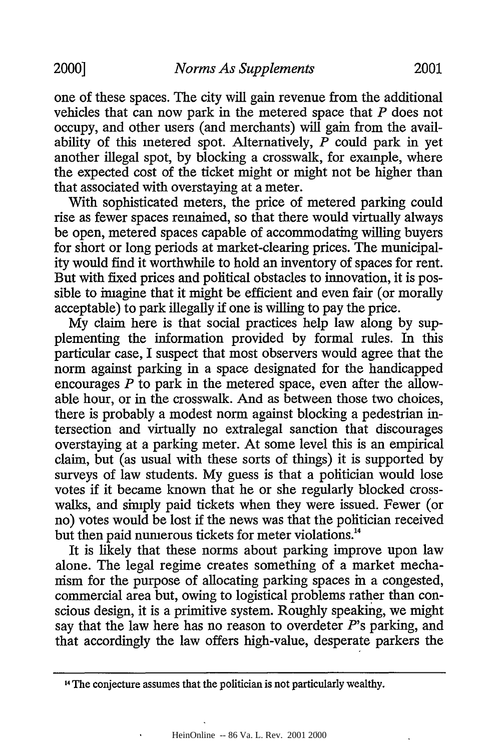one of these spaces. The city will gain revenue from the additional vehicles that can now park in the metered space that *P* does not occupy, and other users (and merchants) will gain from the availability of this metered spot. Alternatively, *P* could park in yet another illegal spot, by blocking a crosswalk, for example, where the expected cost of the ticket might or might not be higher than that associated with overstaying at a meter.

With sophisticated meters, the price of metered parking could rise as fewer spaces remained, so that there would virtually always be open, metered spaces capable of accommodating willing buyers for short or long periods at market-clearing prices. The municipality would find it worthwhile to hold an inventory of spaces for rent. But with fixed prices and political obstacles to innovation, it is possible to imagine that it might be efficient and even fair (or morally acceptable) to park illegally if one is willing to pay the price.

My claim here is that social practices help law along by supplementing the information provided by formal rules. In this particular case, I suspect that most observers would agree that the norm against parking in a space designated for the handicapped encourages *P* to park in the metered space, even after the allowable hour, or in the crosswalk. And as between those two choices, there is probably a modest norm against blocking a pedestrian intersection and virtually no extralegal sanction that discourages overstaying at a parking meter. At some level this is an empirical claim, but (as usual with these sorts of things) it is supported by surveys of law students. My guess is that a politician would lose votes if it became known that he or she regularly blocked crosswalks, and simply paid tickets when they were issued. Fewer (or no) votes would be lost if the news was that the politician received but then paid numerous tickets for meter violations."

It is likely that these norms about parking improve upon law alone. The legal regime creates something of a market mechanism for the purpose of allocating parking spaces in a congested, commercial area but, owing to logistical problems rather than conscious design, it is a primitive system. Roughly speaking, we might say that the law here has no reason to overdeter  $P$ 's parking, and that accordingly the law offers high-value, desperate parkers the

<sup>14</sup> The conjecture assumes that the politician is not particularly wealthy.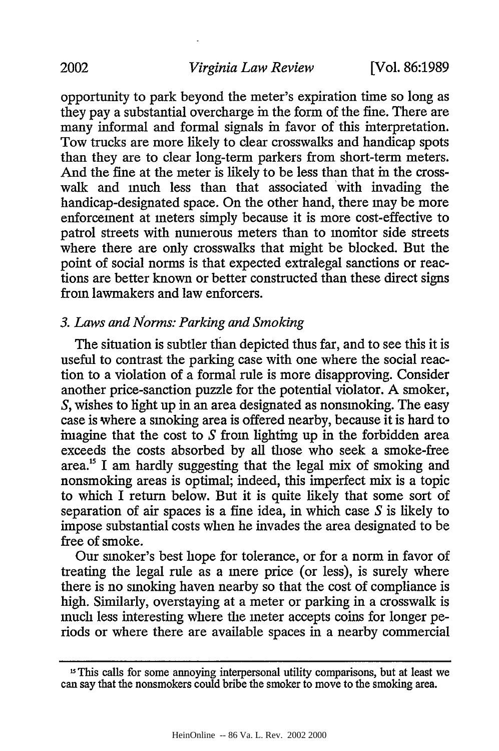opportunity to park beyond the meter's expiration time so long as they pay a substantial overcharge in the form of the fine. There are many informal and formal signals in favor of this interpretation. Tow trucks are more likely to clear crosswalks and handicap spots than they are to clear long-term parkers from short-term meters. And the fine at the meter is likely to be less than that in the crosswalk and much less than that associated 'with invading the handicap-designated space. On the other hand, there may be more enforcement at meters simply because it is more cost-effective to patrol streets with numerous meters than to monitor side streets where there are only crosswalks that might be blocked. But the point of social norms is that expected extralegal sanctions or reactions are better known or better constructed than these direct signs from lawmakers and law enforcers.

# *3. Laws and Norms: Parking and Smoking*

The situation is subtler than depicted thus far, and to see this it is useful to contrast the parking case with one where the social reaction to a violation of a formal rule is more disapproving. Consider another price-sanction puzzle for the potential violator. A smoker, *S,* wishes to light up in an area designated as nonsmoking. The easy case is where a smoking area is offered nearby, because it is hard to imagine that the cost to *S* from lighting up in the forbidden area exceeds the costs absorbed by all those who seek a smoke-free area.<sup>15</sup> I am hardly suggesting that the legal mix of smoking and nonsmoking areas is optimal; indeed, this imperfect mix is a topic to which I return below. But it is quite likely that some sort of separation of air spaces is a fine idea, in which case *S* is likely to impose substantial costs when he invades the area designated to be free of smoke.

Our smoker's best hope for tolerance, or for a norm in favor of treating the legal rule as a mere price (or less), is surely where there is no smoking haven nearby so that the cost of compliance is high. Similarly, overstaying at a meter or parking in a crosswalk is much less interesting where the meter accepts coins for longer periods or where there are available spaces in a nearby commercial

<sup>&</sup>lt;sup>15</sup>This calls for some annoying interpersonal utility comparisons, but at least we can say that the nonsmokers could bribe the smoker to move to the smoking area.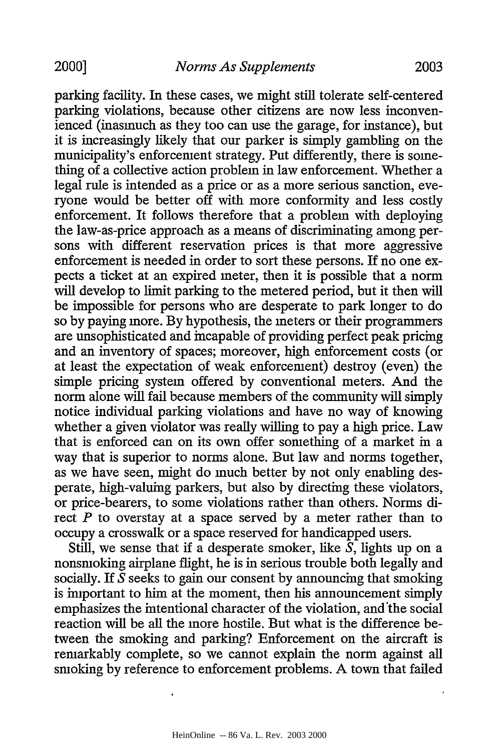parking facility. In these cases, we might still tolerate self-centered parking violations, because other citizens are now less inconvenienced (inasmuch as they too can use the garage, for instance), but it is increasingly likely that our parker is simply gambling on the municipality's enforcement strategy. Put differently, there is something of a collective action problem in law enforcement. Whether a legal rule is intended as a price or as a more serious sanction, everyone would be better off with more conformity and less costly enforcement. It follows therefore that a problem with deploying the law-as-price approach as a means of discriminating among persons with different reservation prices is that more aggressive enforcement is needed in order to sort these persons. If no one expects a ticket at an expired meter, then it is possible that a norm will develop to limit parking to the metered period, but it then will be impossible for persons who are desperate to park longer to do so by paying more. By hypothesis, the meters or their programmers are unsophisticated and incapable of providing perfect peak pricing and an inventory of spaces; moreover, high enforcement costs (or at least the expectation of weak enforcement) destroy (even) the simple pricing system offered by conventional meters. And the norm alone will fail because members of the community will simply notice individual parking violations and have no way of knowing whether a given violator was really willing to pay a high price. Law that is enforced can on its own offer something of a market in a way that is superior to norms alone. But law and norms together, as we have seen, might do much better by not only enabling desperate, high-valuing parkers, but also by directing these violators, or price-bearers, to some violations rather than others. Norms direct *P* to overstay at a space served by a meter rather than to occupy a crosswalk or a space reserved for handicapped users.

Still, we sense that if a desperate smoker, like  $S$ , lights up on a nonsmoking airplane flight, he is in serious trouble both legally and socially. If *S* seeks to gain our consent by announcing that smoking is important to him at the moment, then his announcement simply emphasizes the intentional character of the violation, and'the social reaction will be all the more hostile. But what is the difference between the smoking and parking? Enforcement on the aircraft is remarkably complete, so we cannot explain the norm against all smoking by reference to enforcement problems. A town that failed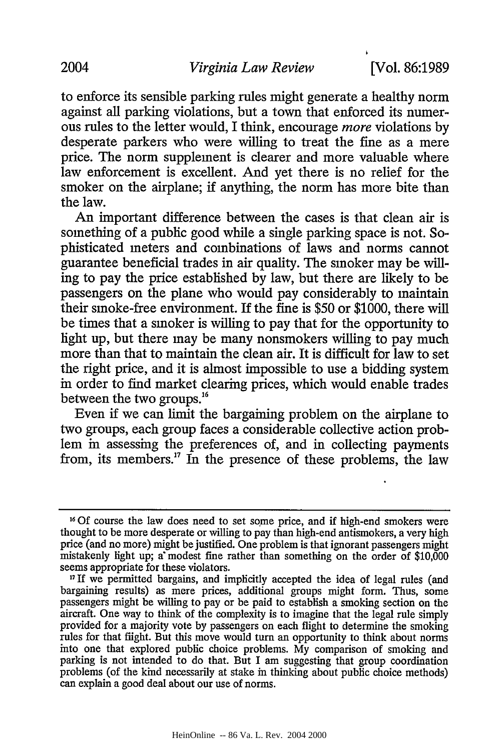to enforce its sensible parking rules might generate a healthy norm against all parking violations, but a town that enforced its numerous rules to the letter would, I think, encourage *more* violations by desperate parkers who were willing to treat the fine as a mere price. The norm supplement is clearer and more valuable where law enforcement is excellent. And yet there is no relief for the smoker on the airplane; if anything, the norm has more bite than the law.

An important difference between the cases is that clean air is something of a public good while a single parking space is not. Sophisticated meters and combinations of laws and norms cannot guarantee beneficial trades in air quality. The smoker may be willing to pay the price established by law, but there are likely to be passengers on the plane who would pay considerably to maintain their smoke-free environment. If the fine is \$50 or \$1000, there will be times that a smoker is willing to pay that for the opportunity to light up, but there may be many nonsmokers willing to pay much more than that to maintain the clean air. It is difficult for law to set the right price, and it is almost impossible to use a bidding system in order to find market clearing prices, which would enable trades between the two groups.16

Even if we can limit the bargaining problem on the airplane to two groups, each group faces a considerable collective action problem in assessing the preferences of, and in collecting payments from, its members.<sup>17</sup> In the presence of these problems, the law

**<sup>16</sup> Of** course the law does need to set some price, and if high-end smokers were thought to be more desperate or willing to pay than high-end antismokers, a very high price (and no more) might be justified. One problem is that ignorant passengers might mistakenly light up; a modest fine rather than something on the order of \$10,000 seems appropriate for these violators.

<sup>&</sup>lt;sup>17</sup> If we permitted bargains, and implicitly accepted the idea of legal rules (and bargaining results) as mere prices, additional groups might form. Thus, some passengers might be willing to pay or be paid to establish a smoking section on the aircraft. One way to think of the complexity is to imagine that the legal rule simply provided for a majority vote by passengers on each flight to determine the smoking rules for that flight. But this move would turn an opportunity to think about norms into one that explored public choice problems. My comparison of smoking and parking is not intended to do that. But I am suggesting that group coordination problems (of the kind necessarily at stake in thinking about public choice methods) can explain a good deal about our use of norms.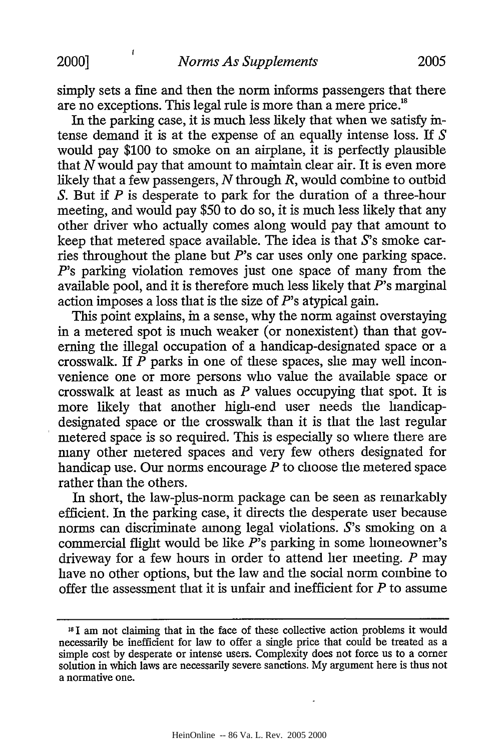$\mathbf{f}$ 

simply sets a fine and then the norm informs passengers that there are no exceptions. This legal rule is more than a mere price.<sup>18</sup>

In the parking case, it is much less likely that when we satisfy intense demand it is at the expense of an equally intense loss. If *S* would pay \$100 to smoke on an airplane, it is perfectly plausible that *N* would pay that amount to maintain clear air. It is even more likely that a few passengers, *N* through *R,* would combine to outbid *S.* But if *P* is desperate to park for the duration of a three-hour meeting, and would pay \$50 to do so, it is much less likely that any other driver who actually comes along would pay that amount to keep that metered space available. The idea is that S's smoke carries throughout the plane but *P's* car uses only one parking space. *P's* parking violation removes just one space of many from the available pool, and it is therefore much less likely that *P's* marginal action imposes a loss that is the size of  $P$ 's atypical gain.

This point explains, in a sense, why the norm against overstaying in a metered spot is much weaker (or nonexistent) than that governing the illegal occupation of a handicap-designated space or a crosswalk. If *P* parks in one of these spaces, she may well inconvenience one or more persons who value the available space or crosswalk at least as much as *P* values occupying that spot. It is more likely that another high-end user needs the handicapdesignated space or the crosswalk than it is that the last regular metered space is so required. This is especially so where there are many other metered spaces and very few others designated for handicap use. Our norms encourage *P* to choose the metered space rather than the others.

In short, the law-plus-norm package can be seen as remarkably efficient. In the parking case, it directs the desperate user because norms can discriminate among legal violations. S's smoking on a commercial flight would be like *P's* parking in some homeowner's driveway for a few hours in order to attend her meeting. *P* may have no other options, but the law and the social norm combine to offer the assessment that it is unfair and inefficient for *P* to assume

**<sup>181</sup>**am not claiming that in the face of these collective action problems it would necessarily be inefficient for law to offer a single price that could be treated as a simple cost by desperate or intense users. Complexity does not force us to a comer solution in which laws are necessarily severe sanctions. My argument here is thus not a normative one.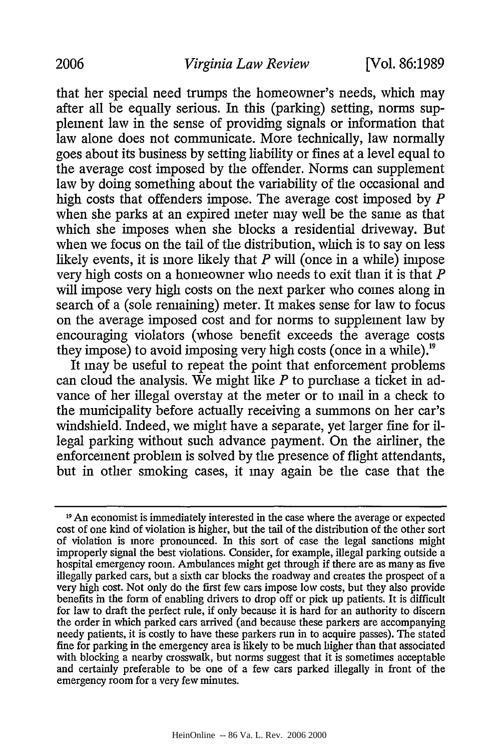that her special need trumps the homeowner's needs, which may after all be equally serious. In this (parking) setting, norms supplement law in the sense of providing signals or information that law alone does not communicate. More technically, law normally goes about its business by setting liability or fines at a level equal to the average cost imposed by the offender. Norms can supplement law by doing something about the variability of the occasional and high costs that offenders impose. The average cost imposed by *P* when she parks at an expired meter may well be the same as that which she imposes when she blocks a residential driveway. But when we focus on the tail of the distribution, which is to say on less likely events, it is more likely that *P* will (once in a while) impose very high costs on a homeowner who needs to exit than it is that *P* will impose very high costs on the next parker who comes along in search of a (sole remaining) meter. It makes sense for law to focus on the average imposed cost and for norms to supplement law by encouraging violators (whose benefit exceeds the average costs they impose) to avoid imposing very high costs (once in a while).<sup>19</sup>

It may be useful to repeat the point that enforcement problems can cloud the analysis. We might like *P* to purchase a ticket in advance of her illegal overstay at the meter or to mail in a check to the municipality before actually receiving a summons on her car's windshield. Indeed, we might have a separate, yet larger fine for illegal parking without such advance payment. On the airliner, the enforcement problem is solved by the presence of flight attendants, but in other smoking cases, it may again be the case that the

<sup>19</sup> An economist is immediately interested in the case where the average or expected cost of one kind of violation is higher, but the tail of the distribution of the other sort of violation is more pronounced. In this sort of case the legal sanctions might improperly signal the best violations. Consider, for example, illegal parking outside a hospital emergency room. Ambulances might get through if there are as many as five illegally parked cars, but a sixth car blocks the roadway and creates the prospect of a very high cost. Not only do the first few cars impose low costs, but they also provide benefits in the form of enabling drivers to drop off or pick up patients. It is difficult for law to draft the perfect rule, if only because it is hard for an authority to discern the order in which parked cars arrived (and because these parkers are accompanying needy patients, it is costly to have these parkers run in to acquire passes). The stated fine for parking in the emergency area is likely to be much higher than that associated with blocking a nearby crosswalk, but norms suggest that it is sometimes acceptable and certainly preferable to be one of a few cars parked illegally in front of the emergency room for a very few minutes.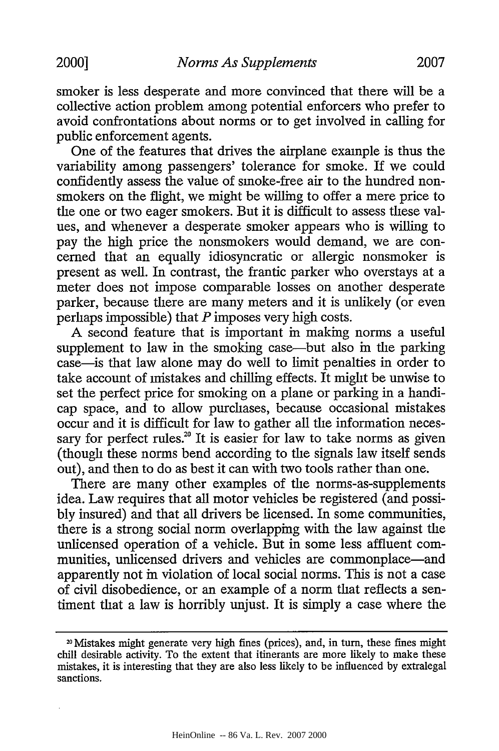smoker is less desperate and more convinced that there will be a collective action problem among potential enforcers who prefer to avoid confrontations about norms or to get involved in calling for public enforcement agents.

One of the features that drives the airplane example is thus the variability among passengers' tolerance for smoke. If we could confidently assess the value of smoke-free air to the hundred nonsmokers on the flight, we might be willing to offer a mere price to the one or two eager smokers. But it is difficult to assess these values, and whenever a desperate smoker appears who is willing to pay the high price the nonsmokers would demand, we are concerned that an equally idiosyncratic or allergic nonsmoker is present as well. In contrast, the frantic parker who overstays at a meter does not impose comparable losses on another desperate parker, because there are many meters and it is unlikely (or even perhaps impossible) that *P* imposes very high costs.

A second feature that is important in making norms a useful supplement to law in the smoking case—but also in the parking case-is that law alone may do well to limit penalties in order to take account of mistakes and chilling effects. It might be unwise to set the perfect price for smoking on a plane or parking in a handicap space, and to allow purchases, because occasional mistakes occur and it is difficult for law to gather all the information necessary for perfect rules.<sup>20</sup> It is easier for law to take norms as given (though these norms bend according to the signals law itself sends out), and then to do as best it can with two tools rather than one.

There are many other examples of the norms-as-supplements idea. Law requires that all motor vehicles be registered (and possibly insured) and that all drivers be licensed. In some communities, there is a strong social norm overlapping with the law against the unlicensed operation of a vehicle. But in some less affluent communities, unlicensed drivers and vehicles are commonplace—and apparently not in violation of local social norms. This is not a case of civil disobedience, or an example of a norm that reflects a sentiment that a law is horribly unjust. It is simply a case where the

**<sup>20</sup>**Mistakes might generate very high fines (prices), and, in turn, these fines might chill desirable activity. To the extent that itinerants are more likely to make these mistakes, it is interesting that they are also less likely to be influenced by extralegal sanctions.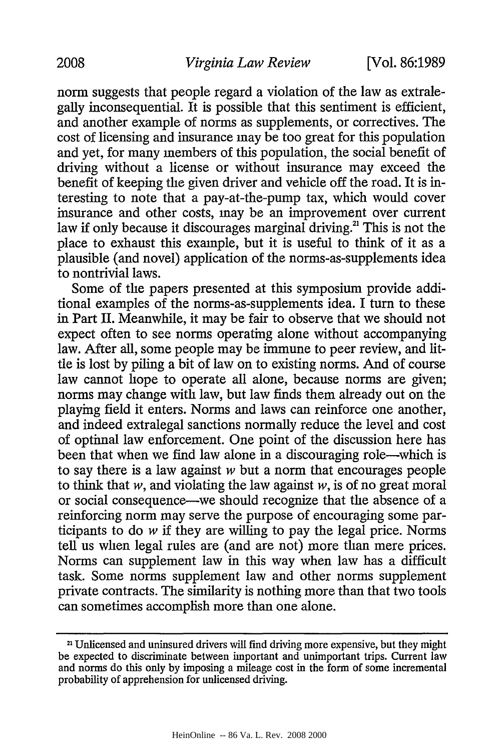norm suggests that people regard a violation of the law as extralegally inconsequential. It is possible that this sentiment is efficient, and another example of norms as supplements, or correctives. The cost of licensing and insurance may be too great for this population and yet, for many members of this population, the social benefit of driving without a license or without insurance may exceed the benefit of keeping the given driver and vehicle off the road. It is interesting to note that a pay-at-the-pump tax, which would cover insurance and other costs, may be an improvement over current law if only because it discourages marginal driving.<sup>21</sup> This is not the place to exhaust this example, but it is useful to think of it as a plausible (and novel) application of the norms-as-supplements idea to nontrivial laws.

Some of the papers presented at this symposium provide additional examples of the norms-as-supplements idea. I turn to these in Part II. Meanwhile, it may be fair to observe that we should not expect often to see norms operating alone without accompanying law. After all, some people may be immune to peer review, and little is lost by piling a bit of law on to existing norms. And of course law cannot hope to operate all alone, because norms are given; norms may change with law, but law finds them already out on the playing field it enters. Norms and laws can reinforce one another, and indeed extralegal sanctions normally reduce the level and cost of optimal law enforcement. One point of the discussion here has been that when we find law alone in a discouraging role—which is to say there is a law against *w* but a norm that encourages people to think that *w,* and violating the law against *w,* is of no great moral or social consequence-we should recognize that the absence of a reinforcing norm may serve the purpose of encouraging some participants to do *w* if they are willing to pay the legal price. Norms tell us when legal rules are (and are not) more than mere prices. Norms can supplement law in this way when law has a difficult task. Some norms supplement law and other norms supplement private contracts. The similarity is nothing more than that two tools can sometimes accomplish more than one alone.

<sup>21</sup> Unlicensed and uninsured drivers will find driving more expensive, but they might be expected to discriminate between important and unimportant trips. Current law and norms do this only by imposing a mileage cost in the form of some incremental probability of apprehension for unlicensed driving.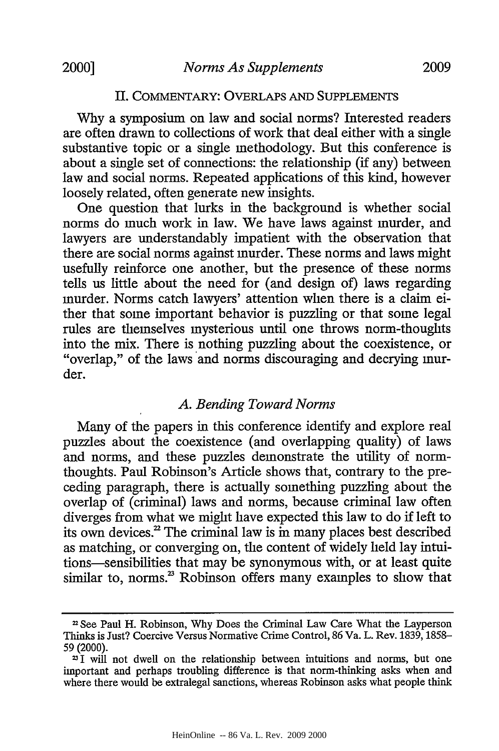#### II. COMMENTARY: OVERLAPS AND SUPPLEMENTS

Why a symposium on law and social norms? Interested readers are often drawn to collections of work that deal either with a single substantive topic or a single methodology. But this conference is about a single set of connections: the relationship (if any) between law and social norms. Repeated applications of this kind, however loosely related, often generate new insights.

One question that lurks in the background is whether social norms do much work in law. We have laws against murder, and lawyers are understandably impatient with the observation that there are social norms against murder. These norms and laws might usefully reinforce one another, but the presence of these norms tells us little about the need for (and design of) laws regarding murder. Norms catch lawyers' attention when there is a claim either that some important behavior is puzzling or that some legal rules are themselves mysterious until one throws norm-thoughts into the mix. There is nothing puzzling about the coexistence, or "overlap," of the laws and norms discouraging and decrying murder.

# *A. Bending Toward Norms*

Many of the papers in this conference identify and explore real puzzles about the coexistence (and overlapping quality) of laws and norms, and these puzzles demonstrate the utility of normthoughts. Paul Robinson's Article shows that, contrary to the preceding paragraph, there is actually something puzzling about the overlap of (criminal) laws and norms, because criminal law often diverges from what we might have expected this law to do if left to its own devices.<sup>22</sup> The criminal law is  $\overline{m}$  many places best described as matching, or converging on, the content of widely held lay intuitions-sensibilities that may be synonymous with, or at least quite similar to, norms.<sup>23</sup> Robinson offers many examples to show that

<sup>&</sup>lt;sup>22</sup> See Paul H. Robinson, Why Does the Criminal Law Care What the Layperson Thinks is Just? Coercive Versus Normative Crime Control, 86 Va. L. Rev. 1839, 1858-59 (2000).

**<sup>731</sup>**will not dwell on the relationship between intuitions and norms, but one important and perhaps troubling difference is that norm-thinking asks when and where there would be extralegal sanctions, whereas Robinson asks what people think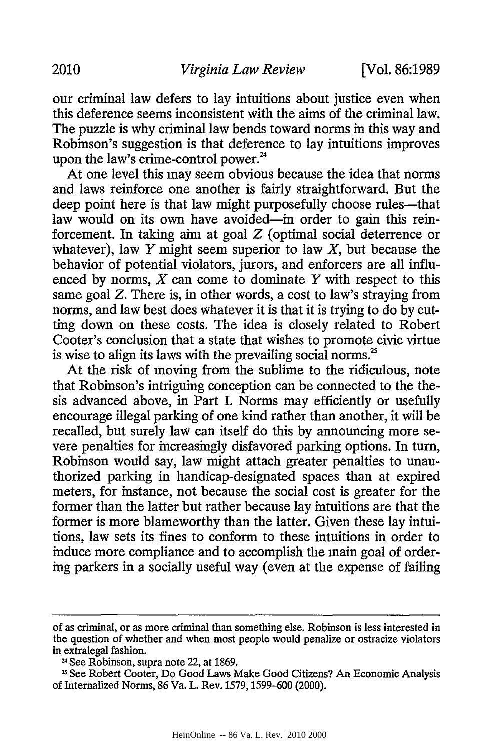our criminal law defers to lay intuitions about justice even when this deference seems inconsistent with the aims of the criminal law. The puzzle is why criminal law bends toward norms in this way and Robinson's suggestion is that deference to lay intuitions improves upon the law's crime-control power. $24$ 

At one level this may seem obvious because the idea that norms and laws reinforce one another is fairly straightforward. But the deep point here is that law might purposefully choose rules—that law would on its own have avoided-in order to gain this reinforcement. In taking aim at goal *Z* (optimal social deterrence or whatever), law  $Y$  might seem superior to law  $X$ , but because the behavior of potential violators, jurors, and enforcers are all influenced by norms, X can come to dominate *Y* with respect to this same goal *Z.* There is, in other words, a cost to law's straying from norms, and law best does whatever it is that it is trying to do by cutting down on these costs. The idea is closely related to Robert Cooter's conclusion that a state that wishes to promote civic virtue is wise to align its laws with the prevailing social norms.<sup>25</sup>

At the risk of moving from the sublime to the ridiculous, note that Robinson's intriguing conception can be connected to the thesis advanced above, in Part I. Norms may efficiently or usefully encourage illegal parking of one kind rather than another, it will be recalled, but surely law can itself do this by announcing more severe penalties for increasingly disfavored parking options. In turn, Robinson would say, law might attach greater penalties to unauthorized parking in handicap-designated spaces than at expired meters, for instance, not because the social cost is greater for the former than the latter but rather because lay intuitions are that the former is more blameworthy than the latter. Given these lay intuitions, law sets its fines to conform to these intuitions in order to induce more compliance and to accomplish the main goal of ordering parkers in a socially useful way (even at the expense of failing

of as criminal, or as more criminal than something else. Robinson is less interested in the question of whether and when most people would penalize or ostracize violators in extralegal fashion.

<sup>24</sup>See Robinson, supra note 22, at 1869.

**<sup>11</sup>** See Robert Cooter, Do Good Laws Make Good Citizens? An Economic Analysis of Internalized Norms, 86 Va. L. Rev. 1579,1599-600 (2000).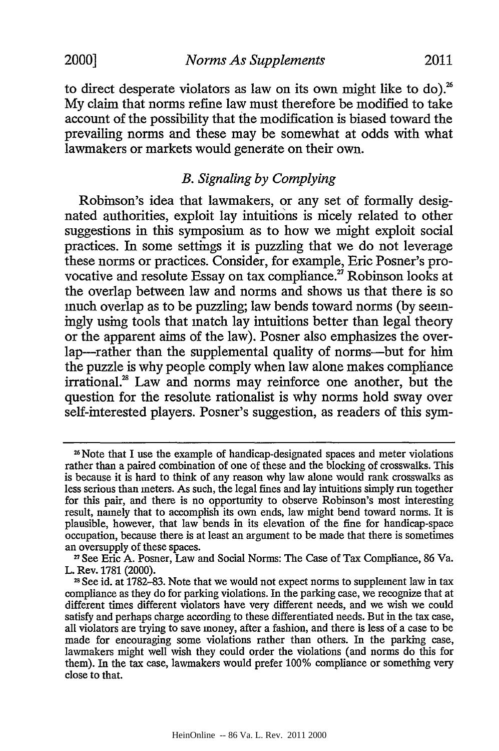to direct desperate violators as law on its own might like to do).<sup>26</sup> My claim that norms refine law must therefore be modified to take account of the possibility that the modification is biased toward the prevailing norms and these may be somewhat at odds with what lawmakers or markets would generate on their own.

## *B. Signaling by Complying*

Robinson's idea that lawmakers, or any set of formally designated authorities, exploit lay intuitions is nicely related to other suggestions in this symposium as to how we might exploit social practices. In some settings it is puzzling that we do not leverage these norms or practices. Consider, for example, Eric Posner's provocative and resolute Essay on tax compliance.<sup>27</sup> Robinson looks at the overlap between law and norms and shows us that there is so much overlap as to be puzzling; law bends toward norms (by seemingly using tools that match lay intuitions better than legal theory or the apparent aims of the law). Posner also emphasizes the overlap-rather than the supplemental quality of norms-but for him the puzzle is why people comply when law alone makes compliance irrational. $28$  Law and norms may reinforce one another, but the question for the resolute rationalist is why norms hold sway over self-interested players. Posner's suggestion, as readers of this sym-

<sup>&</sup>lt;sup>26</sup> Note that I use the example of handicap-designated spaces and meter violations rather than a paired combination of one of these and the blocking of crosswalks. This is because it is hard to think of any reason why law alone would rank crosswalks as less serious than meters. As such, the legal fines and lay intuitions simply run together for this pair, and there is no opportunity to observe Robinson's most interesting result, namely that to accomplish its own ends, law might bend toward norms. It is plausible, however, that law bends in its elevation of the fine for handicap-space occupation, because there is at least an argument to be made that there is sometimes an oversupply of these spaces.

<sup>&</sup>lt;sup>27</sup> See Eric A. Posner, Law and Social Norms: The Case of Tax Compliance, 86 Va. L. Rev. 1781 (2000).

<sup>23</sup> See id. at 1782-83. Note that we would not expect norms to supplement law in tax compliance as they do for parking violations. In the parking case, we recognize that at different times different violators have very different needs, and we wish we could satisfy and perhaps charge according to these differentiated needs. But in the tax case, all violators are trying to save money, after a fashion, and there is less of a case to be made for encouraging some violations rather than others. In the parking case, lawmakers might well wish they could order the violations (and norms do this for them). In the tax case, lawmakers would prefer 100% compliance or something very close to that.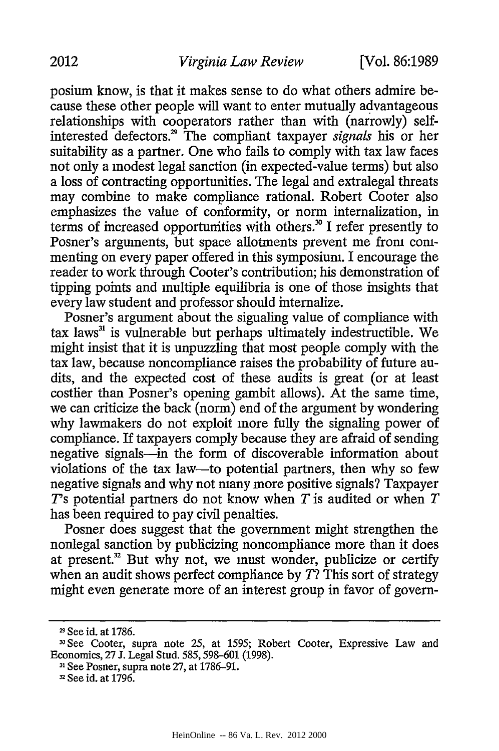posium know, is that it makes sense to do what others admire because these other people will want to enter mutually advantageous relationships with cooperators rather than with (narrowly) selfinterested defectors.<sup>29</sup> The compliant taxpayer *signals* his or her suitability as a partner. One who fails to comply with tax law faces not only a modest legal sanction (in expected-value terms) but also a loss of contracting opportunities. The legal and extralegal threats may combine to make compliance rational. Robert Cooter also emphasizes the value of conformity, or norm internalization, in terms of increased opportunities with others.<sup>30</sup> I refer presently to Posner's arguments, but space allotments prevent me from commenting on every paper offered in this symposium. I encourage the reader to work through Cooter's contribution; his demonstration of tipping points and multiple equilibria is one of those insights that every law student and professor should internalize.

Posner's argument about the sigualing value of compliance with tax laws $x^3$  is vulnerable but perhaps ultimately indestructible. We might insist that it is unpuzzling that most people comply with the tax law, because noncompliance raises the probability of future audits, and the expected cost of these audits is great (or at least costlier than Posner's opening gambit allows). At the same time, we can criticize the back (norm) end of the argument by wondering why lawmakers do not exploit more fully the signaling power of compliance. If taxpayers comply because they are afraid of sending negative signals-in the form of discoverable information about violations of the tax law-to potential partners, then why so few negative signals and why not many more positive signals? Taxpayer Y's potential partners do not know when *T* is audited or when *T* has been required to pay civil penalties.

Posner does suggest that the government might strengthen the nonlegal sanction by publicizing noncompliance more than it does at present.<sup>32</sup> But why not, we must wonder, publicize or certify when an audit shows perfect compliance by  $T$ ? This sort of strategy might even generate more of an interest group in favor of govern-

**<sup>31</sup>**See Posner, supra note 27, at 1786-91.

<sup>&</sup>lt;sup>29</sup> See id. at 1786.

**<sup>30</sup>** See Cooter, supra note 25, at 1595; Robert Cooter, Expressive Law and Economics, 27 J. Legal Stud. 585, 598-601 (1998).

**<sup>3</sup>**See id. at 1796.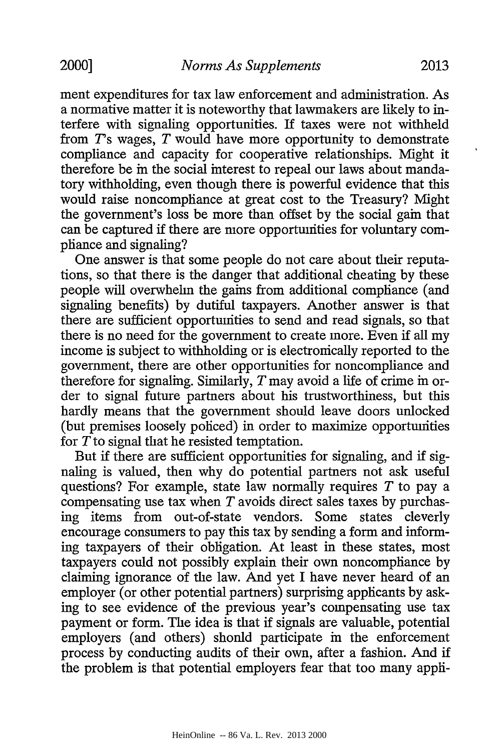ment expenditures for tax law enforcement and administration. As a normative matter it is noteworthy that lawmakers are likely to interfere with signaling opportunities. If taxes were not withheld from 7's wages, *T* would have more opportunity to demonstrate compliance and capacity for cooperative relationships. Might it therefore be in the social interest to repeal our laws about mandatory withholding, even though there is powerful evidence that this would raise noncompliance at great cost to the Treasury? Might the government's loss be more than offset by the social gain that can be captured if there are more opportunities for voluntary compliance and signaling?

One answer is that some people do not care about their reputations, so that there is the danger that additional cheating by these people will overwhelm the gains from additional compliance (and signaling benefits) by dutiful taxpayers. Another answer is that there are sufficient opportunities to send and read signals, so that there is no need for the government to create more. Even if all my income is subject to withholding or is electronically reported to the government, there are other opportunities for noncompliance and therefore for signaling. Similarly, *T* may avoid a life of crime in order to signal future partners about his trustworthiness, but this hardly means that the government should leave doors unlocked (but premises loosely policed) in order to maximize opportunities for *T* to signal that he resisted temptation.

But if there are sufficient opportunities for signaling, and if signaling is valued, then why do potential partners not ask useful questions? For example, state law normally requires *T* to pay a compensating use tax when *T* avoids direct sales taxes by purchasing items from out-of-state vendors. Some states cleverly encourage consumers to pay this tax by sending a form and informing taxpayers of their obligation. At least in these states, most taxpayers could not possibly explain their own noncompliance by claiming ignorance of the law. And yet I have never heard of an employer (or other potential partners) surprising applicants by asking to see evidence of the previous year's compensating use tax payment or form. The idea is that if signals are valuable, potential employers (and others) shonld participate in the enforcement process by conducting audits of their own, after a fashion. And if the problem is that potential employers fear that too many appli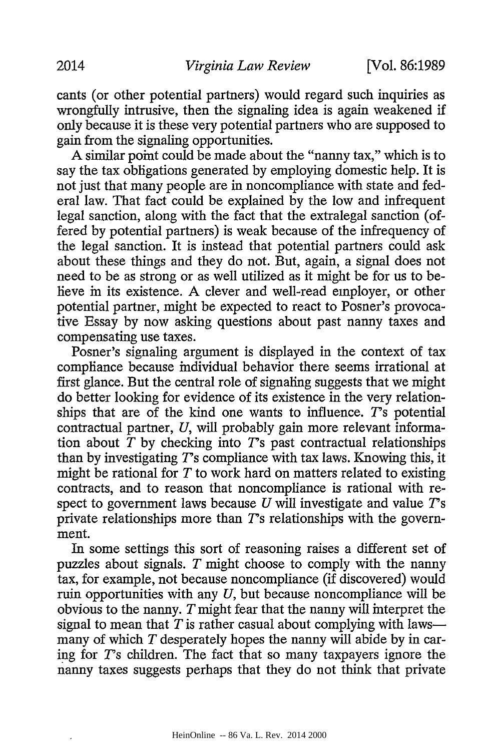cants (or other potential partners) would regard such inquiries as wrongfully intrusive, then the signaling idea is again weakened if only because it is these very potential partners who are supposed to gain from the signaling opportunities.

A similar point could be made about the "nanny tax," which is to say the tax obligations generated by employing domestic help. It is not just that many people are in noncompliance with state and federal law. That fact could be explained by the low and infrequent legal sanction, along with the fact that the extralegal sanction (offered by potential partners) is weak because of the infrequency of the legal sanction. It is instead that potential partners could ask about these things and they do not. But, again, a signal does not need to be as strong or as well utilized as it might be for us to believe in its existence. A clever and well-read employer, or other potential partner, might be expected to react to Posner's provocative Essay by now asking questions about past nanny taxes and compensating use taxes.

Posner's signaling argument is displayed in the context of tax compliance because individual behavior there seems irrational at first glance. But the central role of signaling suggests that we might do better looking for evidence of its existence in the very relationships that are of the kind one wants to influence.  $T$ 's potential contractual partner, *U,* will probably gain more relevant information about  $T$  by checking into  $T$ s past contractual relationships than by investigating *7's* compliance with tax laws. Knowing this, it might be rational for *T* to work hard on matters related to existing contracts, and to reason that noncompliance is rational with respect to government laws because *U* will investigate and value 7's private relationships more than  $T$ 's relationships with the government.

In some settings this sort of reasoning raises a different set of puzzles about signals. *T* might choose to comply with the nanny tax, for example, not because noncompliance (if discovered) would ruin opportunities with any *U,* but because noncompliance will be obvious to the nanny. *T* might fear that the nanny will interpret the signal to mean that  $T$  is rather casual about complying with lawsmany of which *T* desperately hopes the nanny will abide by in caring for 7's children. The fact that so many taxpayers ignore the nanny taxes suggests perhaps that they do not think that private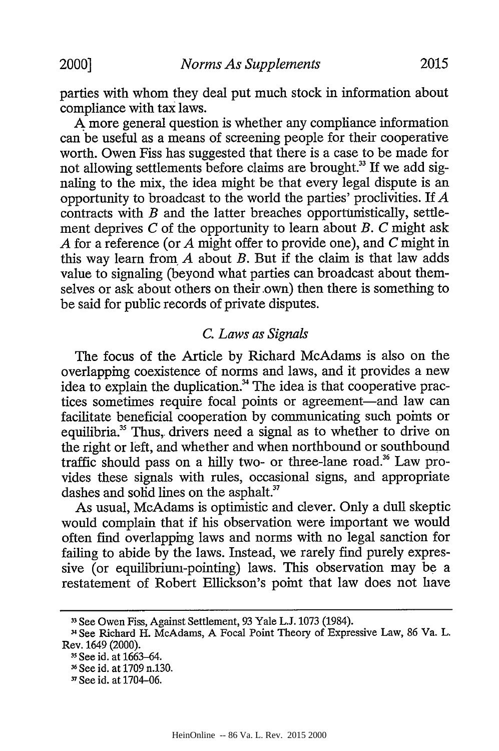A more general question is whether any compliance information can be useful as a means of screening people for their cooperative worth. Owen Fiss has suggested that there is a case to be made for not allowing settlements before claims are brought.<sup>33</sup> If we add signaling to the mix, the idea might be that every legal dispute is an opportunity to broadcast to the world the parties' proclivities. If *A* contracts with *B* and the latter breaches opportunistically, settlement deprives *C* of the opportunity to learn about *B. C* might ask *A* for a reference (or *A* might offer to provide one), and *C* might in this way learn from *A* about *B.* But if the claim is that law adds value to signaling (beyond what parties can broadcast about themselves or ask about others on their own) then there is something to be said for public records of private disputes.

#### *C. Laws as Signals*

The focus of the Article by Richard McAdams is also on the overlapping coexistence of norms and laws, and it provides a new idea to explain the duplication.<sup>34</sup> The idea is that cooperative practices sometimes require focal points or agreement-and law can facilitate beneficial cooperation by communicating such points or equilibria.<sup>35</sup> Thus, drivers need a signal as to whether to drive on the right or left, and whether and when northbound or southbound traffic should pass on a hilly two- or three-lane road.<sup>36</sup> Law provides these signals with rules, occasional signs, and appropriate dashes and solid lines on the asphalt.<sup>37</sup>

As usual, McAdams is optimistic and clever. Only a dull skeptic would complain that if his observation were important we would often find overlapping laws and norms with no legal sanction for failing to abide by the laws. Instead, we rarely find purely expressive (or equilibrium-pointing) laws. This observation may be a restatement of Robert Ellickson's point that law does not have

<sup>33</sup> See Owen Fiss, Against Settlement, 93 Yale L.J. 1073 (1984).

<sup>3</sup> See Richard H. McAdams, A Focal Point Theory of Expressive Law, 86 Va. L. Rev. 1649 (2000).

**<sup>3&#</sup>x27;** See id. at 1663-64.

**<sup>16</sup>** See id. at 1709 n.130.

**<sup>-1</sup>** See id. at 1704-06.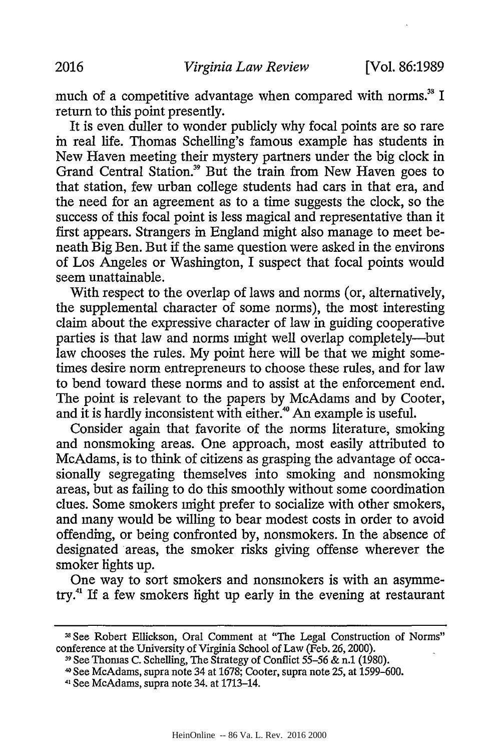much of a competitive advantage when compared with norms.<sup>38</sup> I return to this point presently.

It is even duller to wonder publicly why focal points are so rare in real life. Thomas Schelling's famous example has students in New Haven meeting their mystery partners under the big clock in Grand Central Station.<sup>39</sup> But the train from New Haven goes to that station, few urban college students had cars in that era, and the need for an agreement as to a time suggests the clock, so the success of this focal point is less magical and representative than it first appears. Strangers in England might also manage to meet beneath Big Ben. But if the same question were asked in the environs of Los Angeles or Washington, I suspect that focal points would seem unattainable.

With respect to the overlap of laws and norms (or, alternatively, the supplemental character of some norms), the most interesting claim about the expressive character of law in guiding cooperative parties is that law and norms might well overlap completely-but law chooses the rules. My point here will be that we might sometimes desire norm entrepreneurs to choose these rules, and for law to bend toward these norms and to assist at the enforcement end. The point is relevant to the papers by McAdams and by Cooter, and it is hardly inconsistent with either." An example is useful.

Consider again that favorite of the norms literature, smoking and nonsmoking areas. One approach, most easily attributed to McAdams, is to think of citizens as grasping the advantage of occasionally segregating themselves into smoking and nonsmoking areas, but as failing to do this smoothly without some coordination clues. Some smokers might prefer to socialize with other smokers, and many would be willing to bear modest costs in order to avoid offending, or being confronted by, nonsmokers. In the absence of designated areas, the smoker risks giving offense wherever the smoker lights up.

One way to sort smokers and nonsmokers is with an asymmetry.<sup>41</sup> If a few smokers light up early in the evening at restaurant

**<sup>31</sup>** See Robert Ellickson, Oral Comment at "The Legal Construction of Norms" conference at the University of Virginia School of Law (Feb. 26, 2000).

<sup>39</sup> See Thomas C. Schelling, The Strategy of Conflict 55-56 & n.1 (1980).

<sup>40</sup> See McAdams, supra note 34 at 1678; Cooter, supra note 25, at 1599-600.

*<sup>41</sup>*See McAdams, supra note 34. at 1713-14.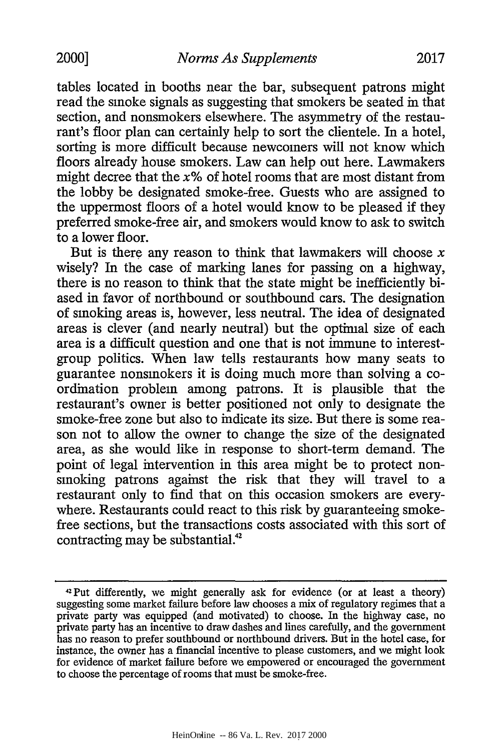tables located in booths near the bar, subsequent patrons might read the smoke signals as suggesting that smokers be seated in that section, and nonsmokers elsewhere. The asymmetry of the restaurant's floor plan can certainly help to sort the clientele. In a hotel, sorting is more difficult because newcomers will not know which floors already house smokers. Law can help out here. Lawmakers might decree that the  $x\%$  of hotel rooms that are most distant from the lobby be designated smoke-free. Guests who are assigned to the uppermost floors of a hotel would know to be pleased if they preferred smoke-free air, and smokers would know to ask to switch to a lower floor.

But is there any reason to think that lawmakers will choose  $x$ wisely? In the case of marking lanes for passing on a highway, there is no reason to think that the state might be inefficiently biased in favor of northbound or southbound cars. The designation of smoking areas is, however, less neutral. The idea of designated areas is clever (and nearly neutral) but the optimal size of each area is a difficult question and one that is not immune to interestgroup politics. When law tells restaurants how many seats to guarantee nonsmokers it is doing much more than solving a coordination problem among patrons. It is plausible that the restaurant's owner is better positioned not only to designate the smoke-free zone but also to indicate its size. But there is some reason not to allow the owner to change the size of the designated area, as she would like in response to short-term demand. The point of legal intervention in this area might be to protect nonsmoking patrons against the risk that they will travel to a restaurant only to find that on this occasion smokers are everywhere. Restaurants could react to this risk by guaranteeing smokefree sections, but the transactions costs associated with this sort of contracting may be substantial.<sup>42</sup>

**<sup>42</sup>Put** differently, we might generally ask for evidence (or at least a theory) suggesting some market failure before law chooses a mix of regulatory regimes that a private party was equipped (and motivated) to choose. In the highway case, no private party has an incentive to draw dashes and lines carefully, and the government has no reason to prefer southbound or northbound drivers. But in the hotel case, for instance, the owner has a financial incentive to please customers, and we might look for evidence of market failure before we empowered or encouraged the government to choose the percentage of rooms that must be smoke-free.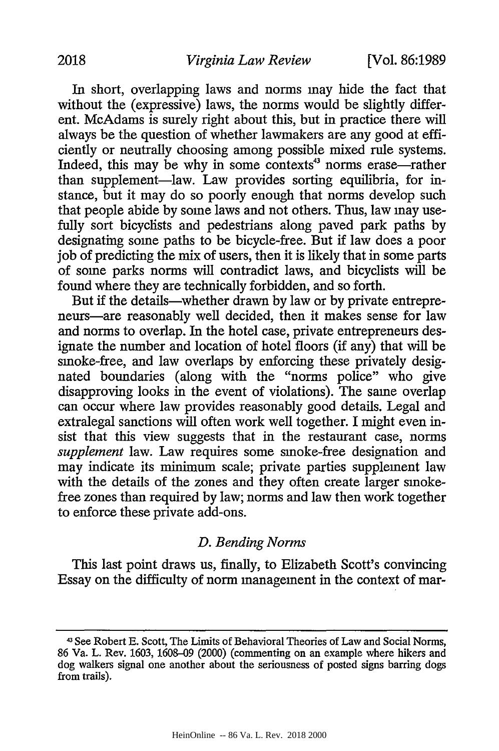In short, overlapping laws and norms may hide the fact that without the (expressive) laws, the norms would be slightly different. McAdams is surely right about this, but in practice there will always be the question of whether lawmakers are any good at efficiently or neutrally choosing among possible mixed rule systems. Indeed, this may be why in some contexts<sup>43</sup> norms erase-rather than supplement-law. Law provides sorting equilibria, for instance, but it may do so poorly enough that norms develop such that people abide by some laws and not others. Thus, law may usefully sort bicyclists and pedestrians along paved park paths by designating some paths to be bicycle-free. But if law does a poor job of predicting the mix of users, then it is likely that in some parts of some parks norms will contradict laws, and bicyclists will be found where they are technically forbidden, and so forth.

But if the details—whether drawn by law or by private entrepreneurs-are reasonably well decided, then it makes sense for law and norms to overlap. In the hotel case, private entrepreneurs designate the number and location of hotel floors (if any) that will be smoke-free, and law overlaps by enforcing these privately designated boundaries (along with the "norms police" who give disapproving looks in the event of violations). The same overlap can occur where law provides reasonably good details. Legal and extralegal sanctions will often work well together. I might even insist that this view suggests that in the restaurant case, norms *supplement* law. Law requires some smoke-free designation and may indicate its minimum scale; private parties supplement law with the details of the zones and they often create larger smokefree zones than required by law; norms and law then work together to enforce these private add-ons.

# *D. Bending Norms*

This last point draws us, finally, to Elizabeth Scott's convincing Essay on the difficulty of norm management in the context of mar-

<sup>43</sup> See Robert E. Scott, The Limits of Behavioral Theories of Law and Social Norms, 86 Va. L. Rev. 1603, 1608-09 (2000) (commenting on an example where hikers and dog walkers signal one another about the seriousness of posted signs barring dogs from trails).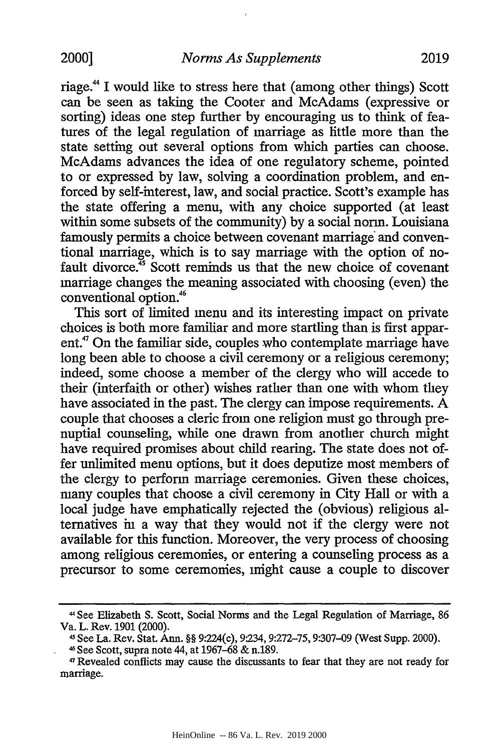riage.<sup>44</sup> I would like to stress here that (among other things) Scott can be seen as taking the Cooter and McAdams (expressive or sorting) ideas one step further by encouraging us to think of features of the legal regulation of marriage as little more than the state setting out several options from which parties can choose. McAdams advances the idea of one regulatory scheme, pointed to or expressed by law, solving a coordination problem, and enforced by self-interest, law, and social practice. Scott's example has the state offering a menu, with any choice supported (at least within some subsets of the community) by a social norm. Louisiana famously permits a choice between covenant marriage and conventional marriage, which is to say marriage with the option of nofault divorce.<sup>45</sup> Scott reminds us that the new choice of covenant marriage changes the meaning associated with choosing (even) the conventional option.<sup>46</sup>

This sort of limited menu and its interesting impact on private choices is both more familiar and more startling than is first apparent.<sup>47</sup> On the familiar side, couples who contemplate marriage have long been able to choose a civil ceremony or a religious ceremony; indeed, some choose a member of the clergy who will accede to their (interfaith or other) wishes rather than one with whom they have associated in the past. The clergy can impose requirements. A couple that chooses a cleric from one religion must go through prenuptial counseling, while one drawn from another church might have required promises about child rearing. The state does not offer unlimited menu options, but it does deputize most members of the clergy to perform marriage ceremonies. Given these choices, many couples that choose a civil ceremony in City Hall or with a local judge have emphatically rejected the (obvious) religious alternatives in a way that they would not if the clergy were not available for this function. Moreover, the very process of choosing among religious ceremonies, or entering a counseling process as a precursor to some ceremonies, might cause a couple to discover

<sup>44</sup>See Elizabeth S. Scott, Social Norms and the Legal Regulation of Marriage, 86 Va. L. Rev. 1901 (2000).

See La. Rev. Stat. Ann. §§ 9:224(c), 9:234, 9:272-75, 9:307-09 (West Supp. 2000).

<sup>4</sup> See Scott, supra note 44, at 1967-68 & n.189.

<sup>47</sup> Revealed conflicts may cause the discussants to fear that they are not ready for marriage.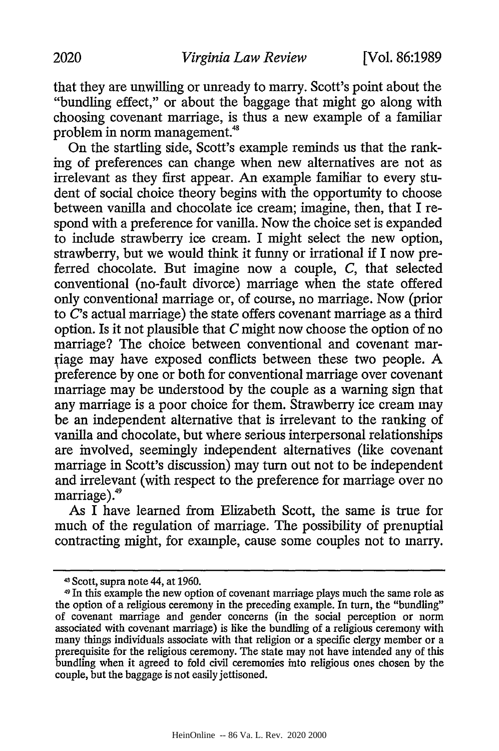that they are unwilling or unready to marry. Scott's point about the "bundling effect," or about the baggage that might go along with choosing covenant marriage, is thus a new example of a familiar problem in norm management.'

On the startling side, Scott's example reminds us that the ranking of preferences can change when new alternatives are not as irrelevant as they first appear. An example familiar to every student of social choice theory begins with the opportunity to choose between vanilla and chocolate ice cream; imagine, then, that I respond with a preference for vanilla. Now the choice set is expanded to include strawberry ice cream. I might select the new option, strawberry, but we would think it funny or irrational if I now preferred chocolate. But imagine now a couple, *C,* that selected conventional (no-fault divorce) marriage when the state offered only conventional marriage or, of course, no marriage. Now (prior to *C's* actual marriage) the state offers covenant marriage as a third option. Is it not plausible that *C* might now choose the option of no marriage? The choice between conventional and covenant mariage may have exposed conflicts between these two people. A preference by one or both for conventional marriage over covenant marriage may be understood by the couple as a warning sign that any marriage is a poor choice for them. Strawberry ice cream may be an independent alternative that is irrelevant to the ranking of vanilla and chocolate, but where serious interpersonal relationships are involved, seemingly independent alternatives (like covenant marriage in Scott's discussion) may turn out not to be independent and irrelevant (with respect to the preference for marriage over no marriage).<sup>49</sup>

As I have learned from Elizabeth Scott, the same is true for much of the regulation of marriage. The possibility of prenuptial contracting might, for example, cause some couples not to marry.

<sup>43</sup> Scott, supra note 44, at 1960.<br>4 In this example the new option of covenant marriage plays much the same role as the option of a religious ceremony in the preceding example. In turn, the "bundling" of covenant marriage and gender concerns (in the social perception or norm associated with covenant marriage) is like the bundling of a religious ceremony with many things individuals associate with that religion or a specific clergy member or a prerequisite for the religious ceremony. The state may not have intended any of this bundling when it agreed to fold civil ceremonies into religious ones chosen by the couple, but the baggage is not easily jettisoned.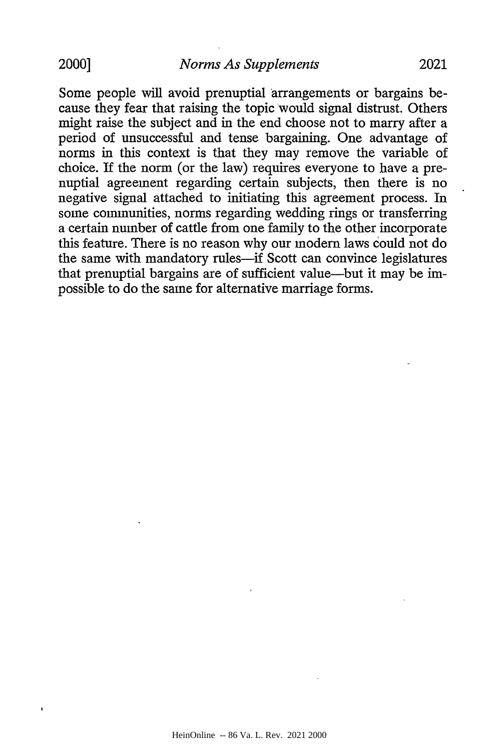Some people will avoid prenuptial arrangements or bargains because they fear that raising the topic would signal distrust. Others might raise the subject and in the end choose not to marry after a period of unsuccessful and tense bargaining. One advantage of norms in this context is that they may remove the variable of choice. If the norm (or the law) requires everyone to have a prenuptial agreement regarding certain subjects, then there is no negative signal attached to initiating this agreement process. In some communities, norms regarding wedding rings or transferring a certain number of cattle from one family to the other incorporate this feature. There is no reason why our modern laws could not do the same with mandatory rules-if Scott can convince legislatures that prenuptial bargains are of sufficient value-but it may be impossible to do the same for alternative marriage forms.